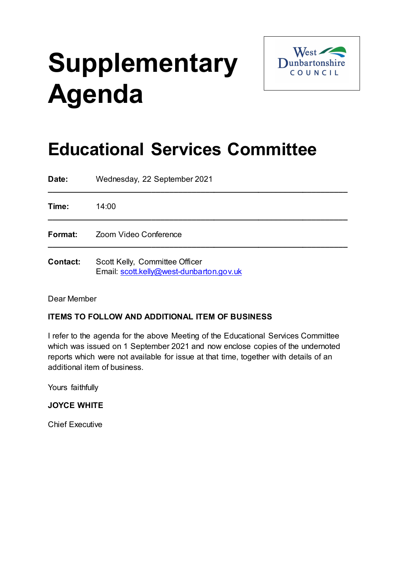# **Supplementary Agenda**



# **Educational Services Committee**

| Date:           | Wednesday, 22 September 2021                                               |
|-----------------|----------------------------------------------------------------------------|
| Time:           | 14:00                                                                      |
| Format:         | Zoom Video Conference                                                      |
| <b>Contact:</b> | Scott Kelly, Committee Officer<br>Email: scott.kelly@west-dunbarton.gov.uk |

Dear Member

## **ITEMS TO FOLLOW AND ADDITIONAL ITEM OF BUSINESS**

I refer to the agenda for the above Meeting of the Educational Services Committee which was issued on 1 September 2021 and now enclose copies of the undernoted reports which were not available for issue at that time, together with details of an additional item of business.

Yours faithfully

### **JOYCE WHITE**

Chief Executive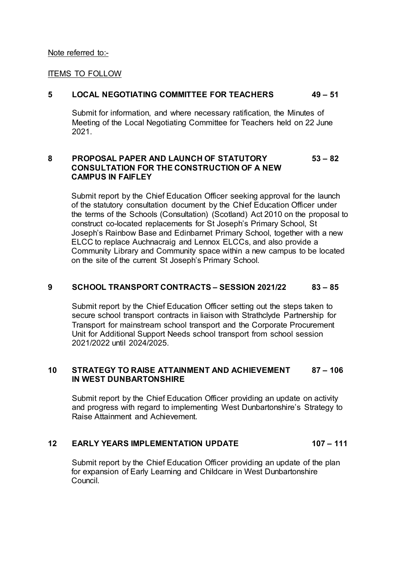#### Note referred to:-

#### **ITEMS TO FOLLOW**

#### **5 LOCAL NEGOTIATING COMMITTEE FOR TEACHERS 49 – 51**

Submit for information, and where necessary ratification, the Minutes of Meeting of the Local Negotiating Committee for Teachers held on 22 June 2021.

#### **8 PROPOSAL PAPER AND LAUNCH OF STATUTORY 53 – 82 CONSULTATION FOR THE CONSTRUCTION OF A NEW CAMPUS IN FAIFLEY**

Submit report by the Chief Education Officer seeking approval for the launch of the statutory consultation document by the Chief Education Officer under the terms of the Schools (Consultation) (Scotland) Act 2010 on the proposal to construct co-located replacements for St Joseph's Primary School, St Joseph's Rainbow Base and Edinbarnet Primary School, together with a new ELCC to replace Auchnacraig and Lennox ELCCs, and also provide a Community Library and Community space within a new campus to be located on the site of the current St Joseph's Primary School.

#### **9 SCHOOL TRANSPORT CONTRACTS – SESSION 2021/22 83 – 85**

Submit report by the Chief Education Officer setting out the steps taken to secure school transport contracts in liaison with Strathclyde Partnership for Transport for mainstream school transport and the Corporate Procurement Unit for Additional Support Needs school transport from school session 2021/2022 until 2024/2025.

#### **10 STRATEGY TO RAISE ATTAINMENT AND ACHIEVEMENT 87 – 106 IN WEST DUNBARTONSHIRE**

Submit report by the Chief Education Officer providing an update on activity and progress with regard to implementing West Dunbartonshire's Strategy to Raise Attainment and Achievement.

#### **12 EARLY YEARS IMPLEMENTATION UPDATE 107 – 111**

Submit report by the Chief Education Officer providing an update of the plan for expansion of Early Learning and Childcare in West Dunbartonshire Council.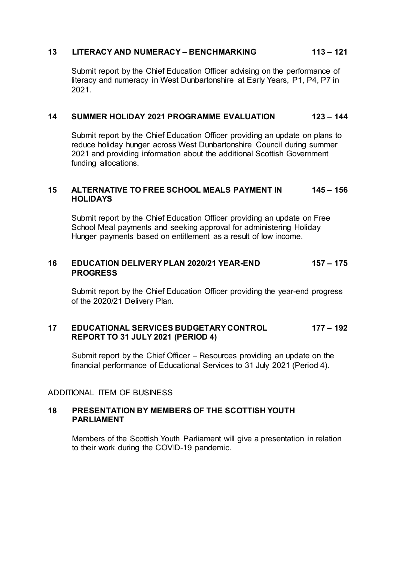#### **13 LITERACY AND NUMERACY – BENCHMARKING 113 – 121**

Submit report by the Chief Education Officer advising on the performance of literacy and numeracy in West Dunbartonshire at Early Years, P1, P4, P7 in 2021.

#### **14 SUMMER HOLIDAY 2021 PROGRAMME EVALUATION 123 – 144**

Submit report by the Chief Education Officer providing an update on plans to reduce holiday hunger across West Dunbartonshire Council during summer 2021 and providing information about the additional Scottish Government funding allocations.

#### **15 ALTERNATIVE TO FREE SCHOOL MEALS PAYMENT IN 145 – 156 HOLIDAYS**

Submit report by the Chief Education Officer providing an update on Free School Meal payments and seeking approval for administering Holiday Hunger payments based on entitlement as a result of low income.

#### **16 EDUCATION DELIVERY PLAN 2020/21 YEAR-END 157 – 175 PROGRESS**

Submit report by the Chief Education Officer providing the year-end progress of the 2020/21 Delivery Plan.

#### **17 EDUCATIONAL SERVICES BUDGETARY CONTROL 177 – 192 REPORT TO 31 JULY 2021 (PERIOD 4)**

Submit report by the Chief Officer – Resources providing an update on the financial performance of Educational Services to 31 July 2021 (Period 4).

#### ADDITIONAL ITEM OF BUSINESS

#### **18 PRESENTATION BY MEMBERS OF THE SCOTTISH YOUTH PARLIAMENT**

Members of the Scottish Youth Parliament will give a presentation in relation to their work during the COVID-19 pandemic.